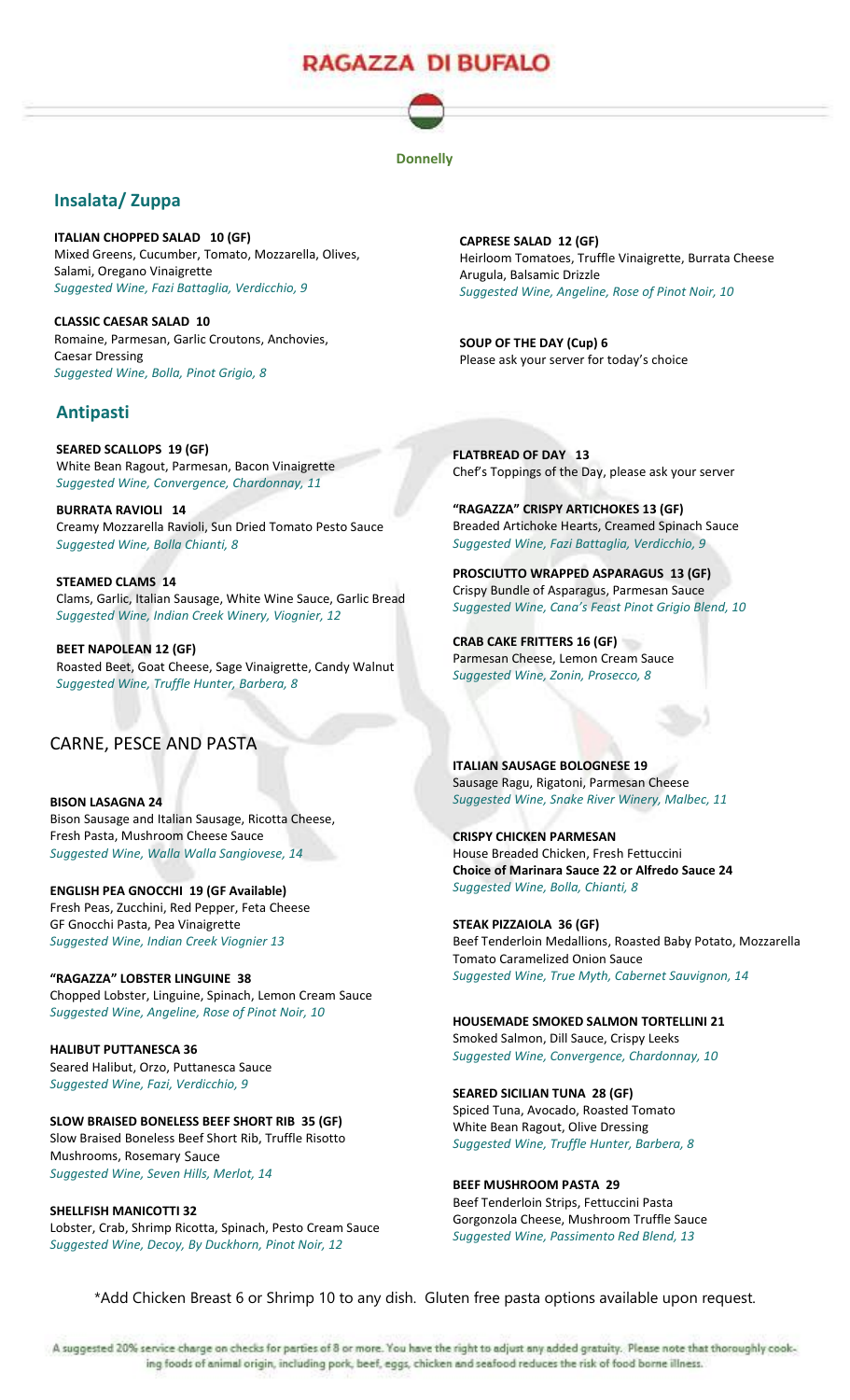# RAGAZZA DI BUFALO

#### **Donnelly**

## **Insalata/ Zuppa**

**ITALIAN CHOPPED SALAD 10 (GF)** Mixed Greens, Cucumber, Tomato, Mozzarella, Olives, Salami, Oregano Vinaigrette *Suggested Wine, Fazi Battaglia, Verdicchio, 9*

**CLASSIC CAESAR SALAD 10** Romaine, Parmesan, Garlic Croutons, Anchovies, Caesar Dressing *Suggested Wine, Bolla, Pinot Grigio, 8*

### **Antipasti**

**SEARED SCALLOPS 19 (GF)** White Bean Ragout, Parmesan, Bacon Vinaigrette *Suggested Wine, Convergence, Chardonnay, 11*

**BURRATA RAVIOLI 14**  Creamy Mozzarella Ravioli, Sun Dried Tomato Pesto Sauce *Suggested Wine, Bolla Chianti, 8*

**STEAMED CLAMS 14** Clams, Garlic, Italian Sausage, White Wine Sauce, Garlic Bread *Suggested Wine, Indian Creek Winery, Viognier, 12*

**BEET NAPOLEAN 12 (GF)** Roasted Beet, Goat Cheese, Sage Vinaigrette, Candy Walnut *Suggested Wine, Truffle Hunter, Barbera, 8*

## CARNE, PESCE AND PASTA

**BISON LASAGNA 24** Bison Sausage and Italian Sausage, Ricotta Cheese, Fresh Pasta, Mushroom Cheese Sauce *Suggested Wine, Walla Walla Sangiovese, 14*

**ENGLISH PEA GNOCCHI 19 (GF Available)**  Fresh Peas, Zucchini, Red Pepper, Feta Cheese GF Gnocchi Pasta, Pea Vinaigrette *Suggested Wine, Indian Creek Viognier 13*

**"RAGAZZA" LOBSTER LINGUINE 38** Chopped Lobster, Linguine, Spinach, Lemon Cream Sauce *Suggested Wine, Angeline, Rose of Pinot Noir, 10*

**HALIBUT PUTTANESCA 36** Seared Halibut, Orzo, Puttanesca Sauce *Suggested Wine, Fazi, Verdicchio, 9*

**SLOW BRAISED BONELESS BEEF SHORT RIB 35 (GF)** Slow Braised Boneless Beef Short Rib, Truffle Risotto Mushrooms, Rosemary Sauce

*Suggested Wine, Seven Hills, Merlot, 14*

**SHELLFISH MANICOTTI 32** Lobster, Crab, Shrimp Ricotta, Spinach, Pesto Cream Sauce *Suggested Wine, Decoy, By Duckhorn, Pinot Noir, 12*

**CAPRESE SALAD 12 (GF)** Heirloom Tomatoes, Truffle Vinaigrette, Burrata Cheese Arugula, Balsamic Drizzle *Suggested Wine, Angeline, Rose of Pinot Noir, 10*

**SOUP OF THE DAY (Cup) 6** Please ask your server for today's choice

**FLATBREAD OF DAY 13** Chef's Toppings of the Day, please ask your server

**"RAGAZZA" CRISPY ARTICHOKES 13 (GF)** Breaded Artichoke Hearts, Creamed Spinach Sauce *Suggested Wine, Fazi Battaglia, Verdicchio, 9*

**PROSCIUTTO WRAPPED ASPARAGUS 13 (GF)** Crispy Bundle of Asparagus, Parmesan Sauce *Suggested Wine, Cana's Feast Pinot Grigio Blend, 10*

**CRAB CAKE FRITTERS 16 (GF)** Parmesan Cheese, Lemon Cream Sauce *Suggested Wine, Zonin, Prosecco, 8*

**ITALIAN SAUSAGE BOLOGNESE 19** Sausage Ragu, Rigatoni, Parmesan Cheese *Suggested Wine, Snake River Winery, Malbec, 11*

**CRISPY CHICKEN PARMESAN** House Breaded Chicken, Fresh Fettuccini **Choice of Marinara Sauce 22 or Alfredo Sauce 24** *Suggested Wine, Bolla, Chianti, 8*

**STEAK PIZZAIOLA 36 (GF)** Beef Tenderloin Medallions, Roasted Baby Potato, Mozzarella Tomato Caramelized Onion Sauce *Suggested Wine, True Myth, Cabernet Sauvignon, 14*

**HOUSEMADE SMOKED SALMON TORTELLINI 21** Smoked Salmon, Dill Sauce, Crispy Leeks *Suggested Wine, Convergence, Chardonnay, 10*

**SEARED SICILIAN TUNA 28 (GF)**

Spiced Tuna, Avocado, Roasted Tomato White Bean Ragout, Olive Dressing *Suggested Wine, Truffle Hunter, Barbera, 8*

**BEEF MUSHROOM PASTA 29** Beef Tenderloin Strips, Fettuccini Pasta Gorgonzola Cheese, Mushroom Truffle Sauce *Suggested Wine, Passimento Red Blend, 13*

\*Add Chicken Breast 6 or Shrimp 10 to any dish. Gluten free pasta options available upon request.

A suggested 20% service charge on checks for parties of 8 or more. You have the right to adjust any added gratuity. Please note that thoroughly cooking foods of animal origin, including pork, beef, eggs, chicken and seafood reduces the risk of food borne illness.